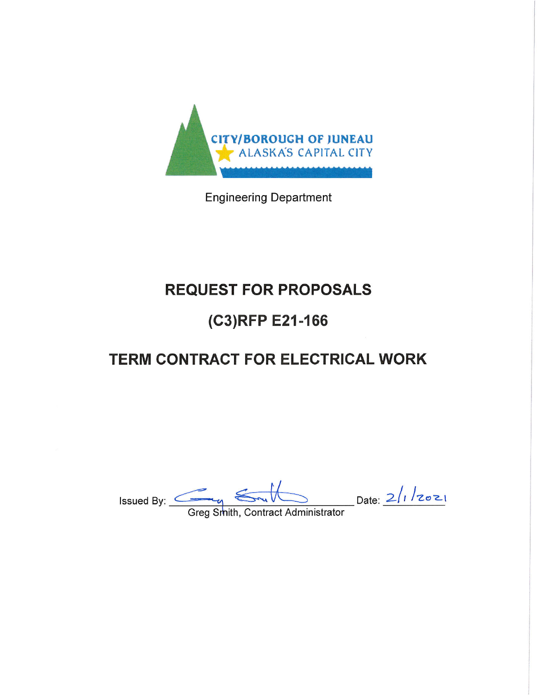

**Engineering Department** 

# **REQUEST FOR PROPOSALS**

## (C3)RFP E21-166

# **TERM CONTRACT FOR ELECTRICAL WORK**

Date:  $2/1/2021$ Issued By:  $\_\_\_\_\_\_\_\_\_\$ 

Greg Smith, Contract Administrator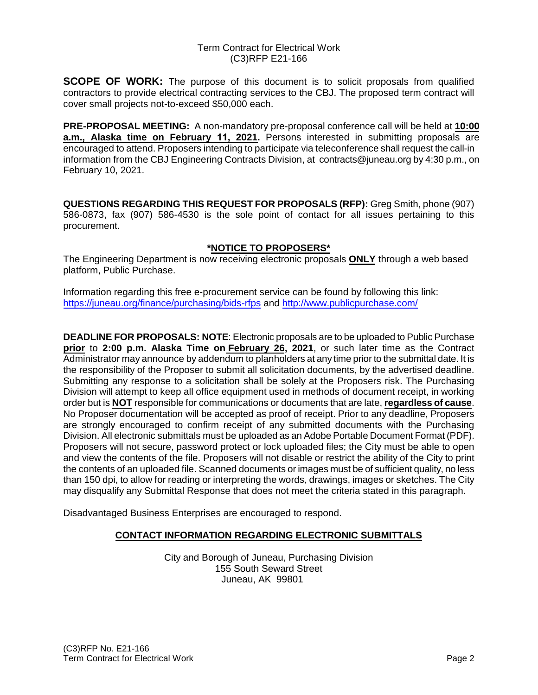**SCOPE OF WORK:** The purpose of this document is to solicit proposals from qualified contractors to provide electrical contracting services to the CBJ. The proposed term contract will cover small projects not-to-exceed \$50,000 each.

**PRE-PROPOSAL MEETING:** A non-mandatory pre-proposal conference call will be held at **10:00 a.m., Alaska time on February 11, 2021.** Persons interested in submitting proposals are encouraged to attend. Proposers intending to participate via teleconference shall request the call-in information from the CBJ Engineering Contracts Division, at contracts@juneau.org by 4:30 p.m., on February 10, 2021.

**QUESTIONS REGARDING THIS REQUEST FOR PROPOSALS (RFP):** Greg Smith, phone (907) 586-0873, fax (907) 586-4530 is the sole point of contact for all issues pertaining to this procurement.

#### **\*NOTICE TO PROPOSERS\***

The Engineering Department is now receiving electronic proposals **ONLY** through a web based platform, Public Purchase.

Information regarding this free e-procurement service can be found by following this link: <https://juneau.org/finance/purchasing/bids-rfps> and<http://www.publicpurchase.com/>

**DEADLINE FOR PROPOSALS: NOTE**: Electronic proposals are to be uploaded to Public Purchase **prior** to **2:00 p.m. Alaska Time on February 26, 2021**, or such later time as the Contract Administrator may announce by addendum to planholders at any time prior to the submittal date. It is the responsibility of the Proposer to submit all solicitation documents, by the advertised deadline. Submitting any response to a solicitation shall be solely at the Proposers risk. The Purchasing Division will attempt to keep all office equipment used in methods of document receipt, in working order but is **NOT** responsible for communications or documents that are late, **regardless of cause**. No Proposer documentation will be accepted as proof of receipt. Prior to any deadline, Proposers are strongly encouraged to confirm receipt of any submitted documents with the Purchasing Division. All electronic submittals must be uploaded as an Adobe Portable Document Format (PDF). Proposers will not secure, password protect or lock uploaded files; the City must be able to open and view the contents of the file. Proposers will not disable or restrict the ability of the City to print the contents of an uploaded file. Scanned documents or images must be of sufficient quality, no less than 150 dpi, to allow for reading or interpreting the words, drawings, images or sketches. The City may disqualify any Submittal Response that does not meet the criteria stated in this paragraph.

Disadvantaged Business Enterprises are encouraged to respond.

#### **CONTACT INFORMATION REGARDING ELECTRONIC SUBMITTALS**

City and Borough of Juneau, Purchasing Division 155 South Seward Street Juneau, AK 99801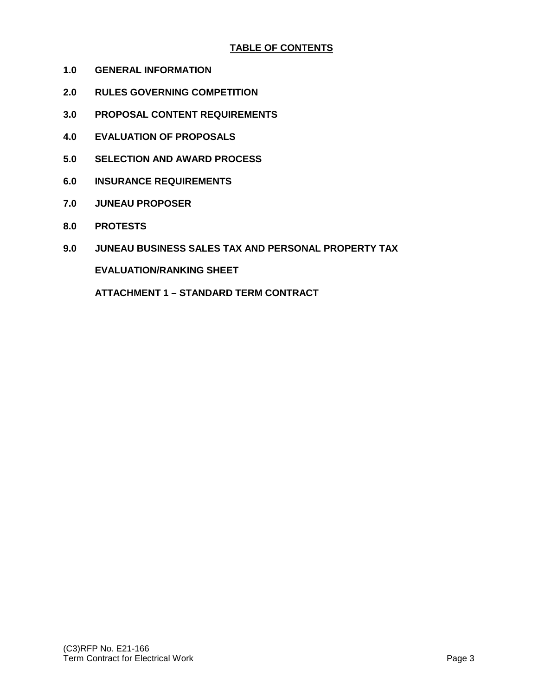#### **TABLE OF CONTENTS**

- **1.0 GENERAL INFORMATION**
- **2.0 RULES GOVERNING COMPETITION**
- **3.0 PROPOSAL CONTENT REQUIREMENTS**
- **4.0 EVALUATION OF PROPOSALS**
- **5.0 SELECTION AND AWARD PROCESS**
- **6.0 INSURANCE REQUIREMENTS**
- **7.0 JUNEAU PROPOSER**
- **8.0 PROTESTS**
- **9.0 JUNEAU BUSINESS SALES TAX AND PERSONAL PROPERTY TAX**

**EVALUATION/RANKING SHEET**

**ATTACHMENT 1 – STANDARD TERM CONTRACT**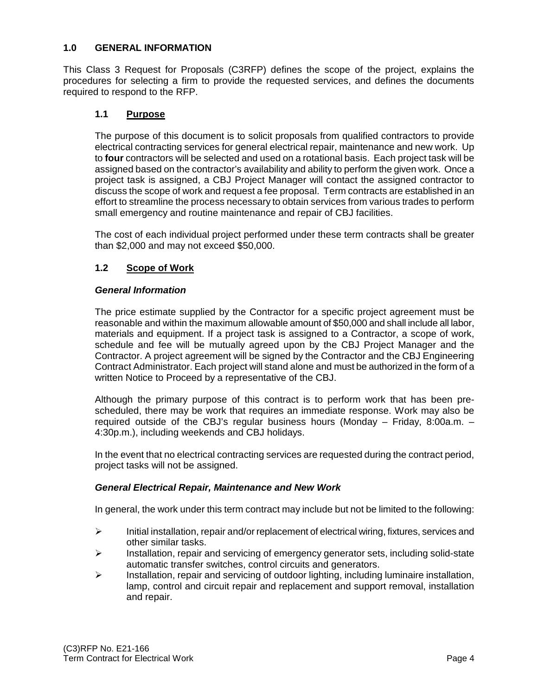#### **1.0 GENERAL INFORMATION**

This Class 3 Request for Proposals (C3RFP) defines the scope of the project, explains the procedures for selecting a firm to provide the requested services, and defines the documents required to respond to the RFP.

#### **1.1 Purpose**

The purpose of this document is to solicit proposals from qualified contractors to provide electrical contracting services for general electrical repair, maintenance and new work. Up to **four** contractors will be selected and used on a rotational basis. Each project task will be assigned based on the contractor's availability and ability to perform the given work. Once a project task is assigned, a CBJ Project Manager will contact the assigned contractor to discuss the scope of work and request a fee proposal. Term contracts are established in an effort to streamline the process necessary to obtain services from various trades to perform small emergency and routine maintenance and repair of CBJ facilities.

The cost of each individual project performed under these term contracts shall be greater than \$2,000 and may not exceed \$50,000.

#### **1.2 Scope of Work**

#### *General Information*

The price estimate supplied by the Contractor for a specific project agreement must be reasonable and within the maximum allowable amount of \$50,000 and shall include all labor, materials and equipment. If a project task is assigned to a Contractor, a scope of work, schedule and fee will be mutually agreed upon by the CBJ Project Manager and the Contractor. A project agreement will be signed by the Contractor and the CBJ Engineering Contract Administrator. Each project will stand alone and must be authorized in the form of a written Notice to Proceed by a representative of the CBJ.

Although the primary purpose of this contract is to perform work that has been prescheduled, there may be work that requires an immediate response. Work may also be required outside of the CBJ's regular business hours (Monday – Friday, 8:00a.m. – 4:30p.m.), including weekends and CBJ holidays.

In the event that no electrical contracting services are requested during the contract period, project tasks will not be assigned.

#### *General Electrical Repair, Maintenance and New Work*

In general, the work under this term contract may include but not be limited to the following:

- $\triangleright$  Initial installation, repair and/or replacement of electrical wiring, fixtures, services and other similar tasks.
- $\triangleright$  Installation, repair and servicing of emergency generator sets, including solid-state automatic transfer switches, control circuits and generators.
- $\triangleright$  Installation, repair and servicing of outdoor lighting, including luminaire installation, lamp, control and circuit repair and replacement and support removal, installation and repair.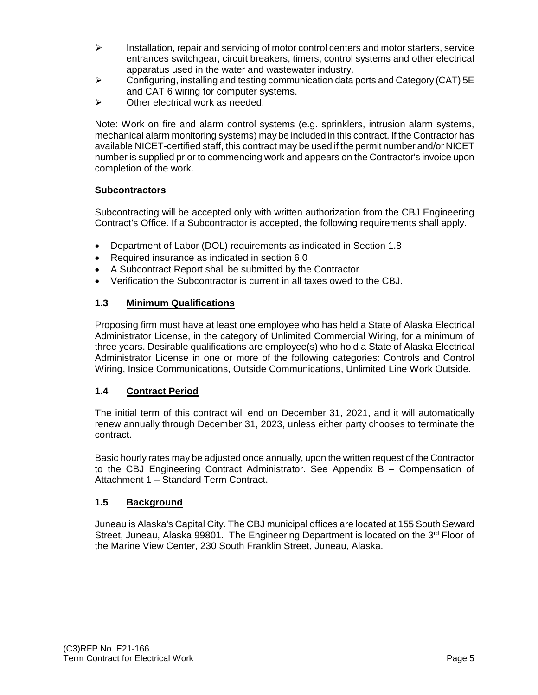- $\triangleright$  Installation, repair and servicing of motor control centers and motor starters, service entrances switchgear, circuit breakers, timers, control systems and other electrical apparatus used in the water and wastewater industry.
- $\triangleright$  Configuring, installing and testing communication data ports and Category (CAT) 5E and CAT 6 wiring for computer systems.
- $\triangleright$  Other electrical work as needed.

Note: Work on fire and alarm control systems (e.g. sprinklers, intrusion alarm systems, mechanical alarm monitoring systems) may be included in this contract. If the Contractor has available NICET-certified staff, this contract may be used if the permit number and/or NICET number is supplied prior to commencing work and appears on the Contractor's invoice upon completion of the work.

#### **Subcontractors**

Subcontracting will be accepted only with written authorization from the CBJ Engineering Contract's Office. If a Subcontractor is accepted, the following requirements shall apply.

- Department of Labor (DOL) requirements as indicated in Section 1.8
- Required insurance as indicated in section 6.0
- A Subcontract Report shall be submitted by the Contractor
- Verification the Subcontractor is current in all taxes owed to the CBJ.

#### **1.3 Minimum Qualifications**

Proposing firm must have at least one employee who has held a State of Alaska Electrical Administrator License, in the category of Unlimited Commercial Wiring, for a minimum of three years. Desirable qualifications are employee(s) who hold a State of Alaska Electrical Administrator License in one or more of the following categories: Controls and Control Wiring, Inside Communications, Outside Communications, Unlimited Line Work Outside.

#### **1.4 Contract Period**

The initial term of this contract will end on December 31, 2021, and it will automatically renew annually through December 31, 2023, unless either party chooses to terminate the contract.

Basic hourly rates may be adjusted once annually, upon the written request of the Contractor to the CBJ Engineering Contract Administrator. See Appendix B – Compensation of Attachment 1 – Standard Term Contract.

#### **1.5 Background**

Juneau is Alaska's Capital City. The CBJ municipal offices are located at 155 South Seward Street, Juneau, Alaska 99801. The Engineering Department is located on the 3<sup>rd</sup> Floor of the Marine View Center, 230 South Franklin Street, Juneau, Alaska.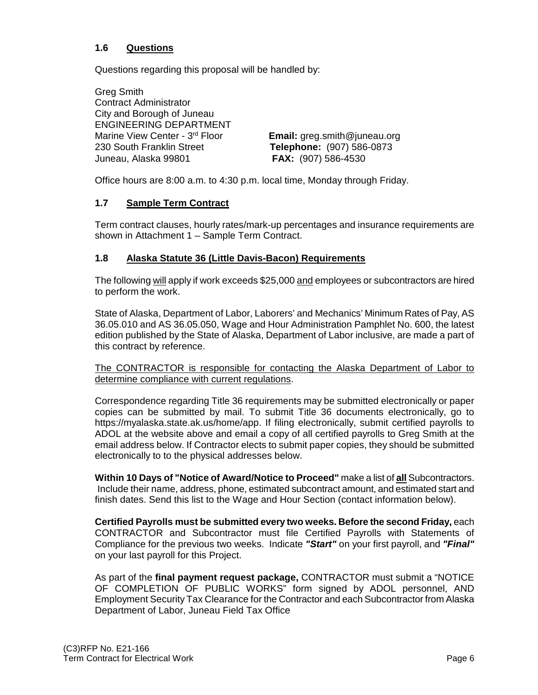#### **1.6 Questions**

Questions regarding this proposal will be handled by:

Greg Smith Contract Administrator City and Borough of Juneau ENGINEERING DEPARTMENT Marine View Center - 3rd Floor **Email:** greg.smith@juneau.org 230 South Franklin Street **Telephone:** (907) 586-0873 Juneau, Alaska 99801 **FAX:** (907) 586-4530

Office hours are 8:00 a.m. to 4:30 p.m. local time, Monday through Friday.

#### **1.7 Sample Term Contract**

Term contract clauses, hourly rates/mark-up percentages and insurance requirements are shown in Attachment 1 – Sample Term Contract.

#### **1.8 Alaska Statute 36 (Little Davis-Bacon) Requirements**

The following will apply if work exceeds \$25,000 and employees or subcontractors are hired to perform the work.

State of Alaska, Department of Labor, Laborers' and Mechanics' Minimum Rates of Pay, AS 36.05.010 and AS 36.05.050, Wage and Hour Administration Pamphlet No. 600, the latest edition published by the State of Alaska, Department of Labor inclusive, are made a part of this contract by reference.

The CONTRACTOR is responsible for contacting the Alaska Department of Labor to determine compliance with current regulations.

Correspondence regarding Title 36 requirements may be submitted electronically or paper copies can be submitted by mail. To submit Title 36 documents electronically, go to [https://myalaska.state.ak.us/home/app.](https://myalaska.state.ak.us/home/app) If filing electronically, submit certified payrolls to ADOL at the website above and email a copy of all certified payrolls to Greg Smith at the email address below. If Contractor elects to submit paper copies, they should be submitted electronically to to the physical addresses below.

**Within 10 Days of "Notice of Award/Notice to Proceed"** make a list of **all** Subcontractors. Include their name, address, phone, estimated subcontract amount, and estimated start and finish dates. Send this list to the Wage and Hour Section (contact information below).

**Certified Payrolls must be submitted every two weeks. Before the second Friday,** each CONTRACTOR and Subcontractor must file Certified Payrolls with Statements of Compliance for the previous two weeks. Indicate *"Start"* on your first payroll, and *"Final"* on your last payroll for this Project.

As part of the **final payment request package,** CONTRACTOR must submit a "NOTICE OF COMPLETION OF PUBLIC WORKS" form signed by ADOL personnel, AND Employment Security Tax Clearance for the Contractor and each Subcontractor from Alaska Department of Labor, Juneau Field Tax Office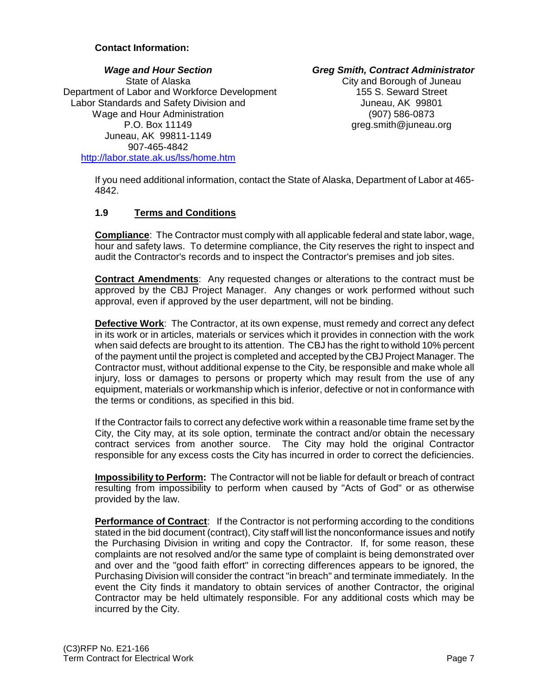#### **Contact Information:**

#### State of Alaska<br>
Labor and Workforce Development<br>
Labor and Workforce Development<br>
City and Borough of Juneau Department of Labor and Workforce Development Labor Standards and Safety Division and Internal Communication of the Juneau, AK 99801 Wage and Hour Administration (907) 586-0873 P.O. Box 11149 greg.smith@juneau.org Juneau, AK 99811-1149 907-465-4842 <http://labor.state.ak.us/lss/home.htm>

*Wage and Hour Section Greg Smith, Contract Administrator*

If you need additional information, contact the State of Alaska, Department of Labor at 465- 4842.

#### **1.9 Terms and Conditions**

**Compliance**: The Contractor must comply with all applicable federal and state labor, wage, hour and safety laws. To determine compliance, the City reserves the right to inspect and audit the Contractor's records and to inspect the Contractor's premises and job sites.

**Contract Amendments**: Any requested changes or alterations to the contract must be approved by the CBJ Project Manager. Any changes or work performed without such approval, even if approved by the user department, will not be binding.

**Defective Work**: The Contractor, at its own expense, must remedy and correct any defect in its work or in articles, materials or services which it provides in connection with the work when said defects are brought to its attention. The CBJ has the right to withold 10% percent of the payment until the project is completed and accepted by the CBJ Project Manager. The Contractor must, without additional expense to the City, be responsible and make whole all injury, loss or damages to persons or property which may result from the use of any equipment, materials or workmanship which is inferior, defective or not in conformance with the terms or conditions, as specified in this bid.

If the Contractor fails to correct any defective work within a reasonable time frame set by the City, the City may, at its sole option, terminate the contract and/or obtain the necessary contract services from another source. The City may hold the original Contractor responsible for any excess costs the City has incurred in order to correct the deficiencies.

**Impossibility to Perform:** The Contractor will not be liable for default or breach of contract resulting from impossibility to perform when caused by "Acts of God" or as otherwise provided by the law.

**Performance of Contract:** If the Contractor is not performing according to the conditions stated in the bid document (contract), City staff will list the nonconformance issues and notify the Purchasing Division in writing and copy the Contractor. If, for some reason, these complaints are not resolved and/or the same type of complaint is being demonstrated over and over and the "good faith effort" in correcting differences appears to be ignored, the Purchasing Division will consider the contract "in breach" and terminate immediately. In the event the City finds it mandatory to obtain services of another Contractor, the original Contractor may be held ultimately responsible. For any additional costs which may be incurred by the City.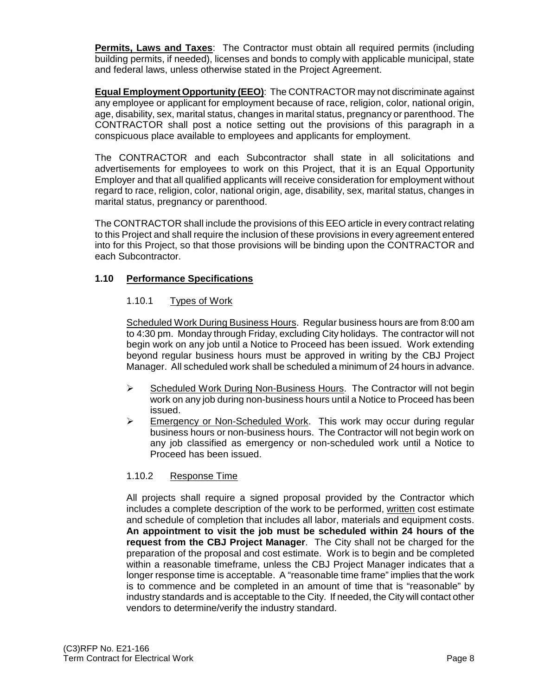**Permits, Laws and Taxes**: The Contractor must obtain all required permits (including building permits, if needed), licenses and bonds to comply with applicable municipal, state and federal laws, unless otherwise stated in the Project Agreement.

**Equal Employment Opportunity (EEO)**: The CONTRACTOR may not discriminate against any employee or applicant for employment because of race, religion, color, national origin, age, disability, sex, marital status, changes in marital status, pregnancy or parenthood. The CONTRACTOR shall post a notice setting out the provisions of this paragraph in a conspicuous place available to employees and applicants for employment.

The CONTRACTOR and each Subcontractor shall state in all solicitations and advertisements for employees to work on this Project, that it is an Equal Opportunity Employer and that all qualified applicants will receive consideration for employment without regard to race, religion, color, national origin, age, disability, sex, marital status, changes in marital status, pregnancy or parenthood.

The CONTRACTOR shall include the provisions of this EEO article in every contract relating to this Project and shall require the inclusion of these provisions in every agreement entered into for this Project, so that those provisions will be binding upon the CONTRACTOR and each Subcontractor.

#### **1.10 Performance Specifications**

#### 1.10.1 Types of Work

Scheduled Work During Business Hours. Regular business hours are from 8:00 am to 4:30 pm. Monday through Friday, excluding City holidays. The contractor will not begin work on any job until a Notice to Proceed has been issued. Work extending beyond regular business hours must be approved in writing by the CBJ Project Manager. All scheduled work shall be scheduled a minimum of 24 hours in advance.

- $\triangleright$  Scheduled Work During Non-Business Hours. The Contractor will not begin work on any job during non-business hours until a Notice to Proceed has been issued.
- Emergency or Non-Scheduled Work. This work may occur during regular business hours or non-business hours. The Contractor will not begin work on any job classified as emergency or non-scheduled work until a Notice to Proceed has been issued.

#### 1.10.2 Response Time

All projects shall require a signed proposal provided by the Contractor which includes a complete description of the work to be performed, written cost estimate and schedule of completion that includes all labor, materials and equipment costs. **An appointment to visit the job must be scheduled within 24 hours of the request from the CBJ Project Manager**. The City shall not be charged for the preparation of the proposal and cost estimate. Work is to begin and be completed within a reasonable timeframe, unless the CBJ Project Manager indicates that a longer response time is acceptable. A "reasonable time frame" implies that the work is to commence and be completed in an amount of time that is "reasonable" by industry standards and is acceptable to the City. If needed, the City will contact other vendors to determine/verify the industry standard.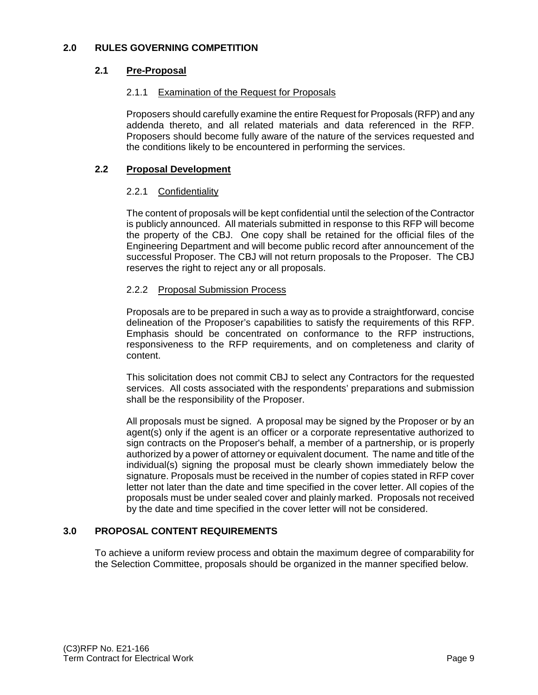#### **2.1 Pre-Proposal**

#### 2.1.1 Examination of the Request for Proposals

Proposers should carefully examine the entire Request for Proposals (RFP) and any addenda thereto, and all related materials and data referenced in the RFP. Proposers should become fully aware of the nature of the services requested and the conditions likely to be encountered in performing the services.

#### **2.2 Proposal Development**

#### 2.2.1 Confidentiality

The content of proposals will be kept confidential until the selection of the Contractor is publicly announced. All materials submitted in response to this RFP will become the property of the CBJ. One copy shall be retained for the official files of the Engineering Department and will become public record after announcement of the successful Proposer. The CBJ will not return proposals to the Proposer. The CBJ reserves the right to reject any or all proposals.

#### 2.2.2 Proposal Submission Process

Proposals are to be prepared in such a way as to provide a straightforward, concise delineation of the Proposer's capabilities to satisfy the requirements of this RFP. Emphasis should be concentrated on conformance to the RFP instructions, responsiveness to the RFP requirements, and on completeness and clarity of content.

This solicitation does not commit CBJ to select any Contractors for the requested services. All costs associated with the respondents' preparations and submission shall be the responsibility of the Proposer.

All proposals must be signed. A proposal may be signed by the Proposer or by an agent(s) only if the agent is an officer or a corporate representative authorized to sign contracts on the Proposer's behalf, a member of a partnership, or is properly authorized by a power of attorney or equivalent document. The name and title of the individual(s) signing the proposal must be clearly shown immediately below the signature. Proposals must be received in the number of copies stated in RFP cover letter not later than the date and time specified in the cover letter. All copies of the proposals must be under sealed cover and plainly marked. Proposals not received by the date and time specified in the cover letter will not be considered.

#### **3.0 PROPOSAL CONTENT REQUIREMENTS**

To achieve a uniform review process and obtain the maximum degree of comparability for the Selection Committee, proposals should be organized in the manner specified below.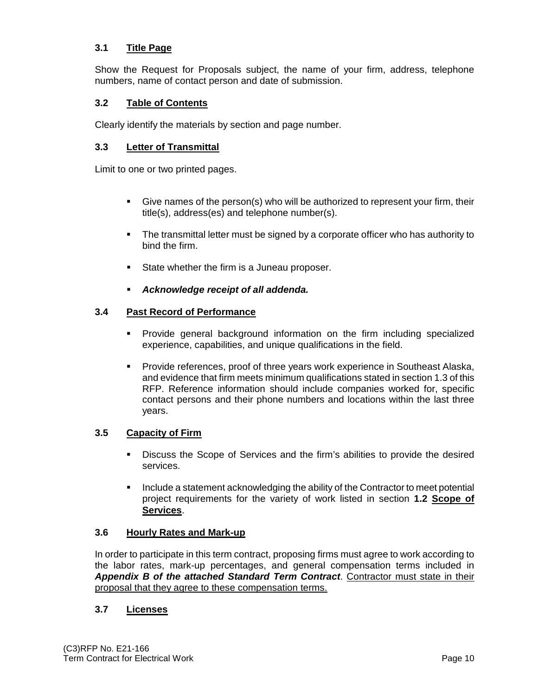#### **3.1 Title Page**

Show the Request for Proposals subject, the name of your firm, address, telephone numbers, name of contact person and date of submission.

#### **3.2 Table of Contents**

Clearly identify the materials by section and page number.

#### **3.3 Letter of Transmittal**

Limit to one or two printed pages.

- Give names of the person(s) who will be authorized to represent your firm, their title(s), address(es) and telephone number(s).
- The transmittal letter must be signed by a corporate officer who has authority to bind the firm.
- State whether the firm is a Juneau proposer.
- *Acknowledge receipt of all addenda.*

#### **3.4 Past Record of Performance**

- Provide general background information on the firm including specialized experience, capabilities, and unique qualifications in the field.
- **Provide references, proof of three years work experience in Southeast Alaska,** and evidence that firm meets minimum qualifications stated in section 1.3 of this RFP. Reference information should include companies worked for, specific contact persons and their phone numbers and locations within the last three years.

#### **3.5 Capacity of Firm**

- Discuss the Scope of Services and the firm's abilities to provide the desired services.
- Include a statement acknowledging the ability of the Contractor to meet potential project requirements for the variety of work listed in section **1.2 Scope of Services**.

#### **3.6 Hourly Rates and Mark-up**

In order to participate in this term contract, proposing firms must agree to work according to the labor rates, mark-up percentages, and general compensation terms included in *Appendix B of the attached Standard Term Contract*. Contractor must state in their proposal that they agree to these compensation terms.

#### **3.7 Licenses**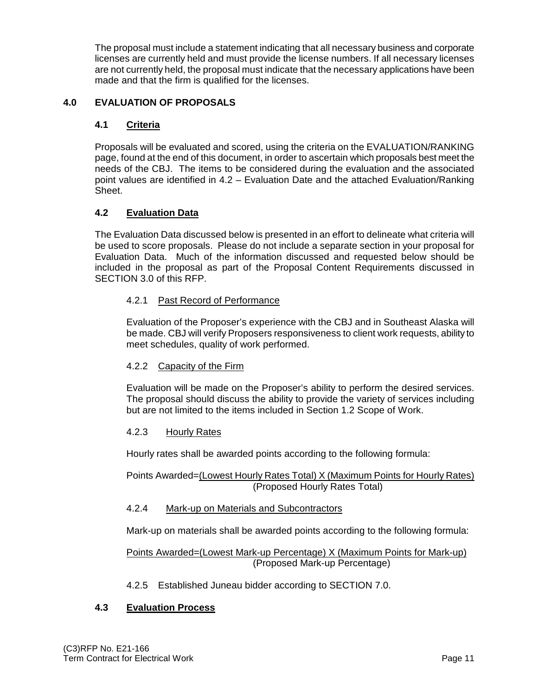The proposal must include a statement indicating that all necessary business and corporate licenses are currently held and must provide the license numbers. If all necessary licenses are not currently held, the proposal must indicate that the necessary applications have been made and that the firm is qualified for the licenses.

#### **4.0 EVALUATION OF PROPOSALS**

#### **4.1 Criteria**

Proposals will be evaluated and scored, using the criteria on the EVALUATION/RANKING page, found at the end of this document, in order to ascertain which proposals best meet the needs of the CBJ. The items to be considered during the evaluation and the associated point values are identified in 4.2 – Evaluation Date and the attached Evaluation/Ranking Sheet.

#### **4.2 Evaluation Data**

The Evaluation Data discussed below is presented in an effort to delineate what criteria will be used to score proposals. Please do not include a separate section in your proposal for Evaluation Data. Much of the information discussed and requested below should be included in the proposal as part of the Proposal Content Requirements discussed in SECTION 3.0 of this RFP.

#### 4.2.1 Past Record of Performance

Evaluation of the Proposer's experience with the CBJ and in Southeast Alaska will be made. CBJ will verify Proposers responsiveness to client work requests, ability to meet schedules, quality of work performed.

#### 4.2.2 Capacity of the Firm

Evaluation will be made on the Proposer's ability to perform the desired services. The proposal should discuss the ability to provide the variety of services including but are not limited to the items included in Section 1.2 Scope of Work.

#### 4.2.3 Hourly Rates

Hourly rates shall be awarded points according to the following formula:

Points Awarded=(Lowest Hourly Rates Total) X (Maximum Points for Hourly Rates) (Proposed Hourly Rates Total)

4.2.4 Mark-up on Materials and Subcontractors

Mark-up on materials shall be awarded points according to the following formula:

#### Points Awarded=(Lowest Mark-up Percentage) X (Maximum Points for Mark-up) (Proposed Mark-up Percentage)

4.2.5 Established Juneau bidder according to SECTION 7.0.

#### **4.3 Evaluation Process**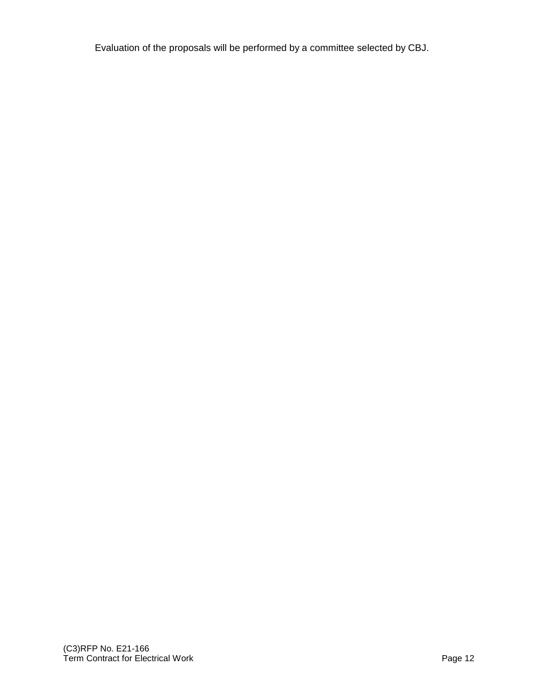Evaluation of the proposals will be performed by a committee selected by CBJ.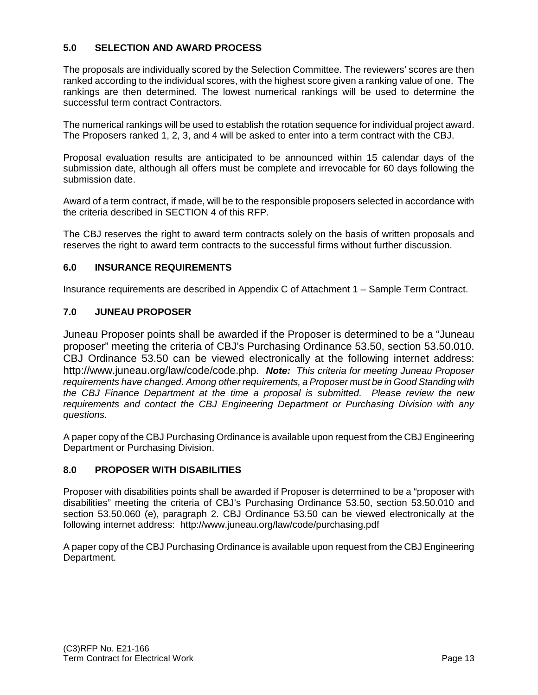#### **5.0 SELECTION AND AWARD PROCESS**

The proposals are individually scored by the Selection Committee. The reviewers' scores are then ranked according to the individual scores, with the highest score given a ranking value of one. The rankings are then determined. The lowest numerical rankings will be used to determine the successful term contract Contractors.

The numerical rankings will be used to establish the rotation sequence for individual project award. The Proposers ranked 1, 2, 3, and 4 will be asked to enter into a term contract with the CBJ.

Proposal evaluation results are anticipated to be announced within 15 calendar days of the submission date, although all offers must be complete and irrevocable for 60 days following the submission date.

Award of a term contract, if made, will be to the responsible proposers selected in accordance with the criteria described in SECTION 4 of this RFP.

The CBJ reserves the right to award term contracts solely on the basis of written proposals and reserves the right to award term contracts to the successful firms without further discussion.

#### **6.0 INSURANCE REQUIREMENTS**

Insurance requirements are described in Appendix C of Attachment 1 – Sample Term Contract.

#### **7.0 JUNEAU PROPOSER**

Juneau Proposer points shall be awarded if the Proposer is determined to be a "Juneau proposer" meeting the criteria of CBJ's Purchasing Ordinance 53.50, section 53.50.010. CBJ Ordinance 53.50 can be viewed electronically at the following internet address: http://www.juneau.org/law/code/code.php. *Note: This criteria for meeting Juneau Proposer requirements have changed. Among other requirements, a Proposer must be in Good Standing with the CBJ Finance Department at the time a proposal is submitted. Please review the new requirements and contact the CBJ Engineering Department or Purchasing Division with any questions.*

A paper copy of the CBJ Purchasing Ordinance is available upon request from the CBJ Engineering Department or Purchasing Division.

#### **8.0 PROPOSER WITH DISABILITIES**

Proposer with disabilities points shall be awarded if Proposer is determined to be a "proposer with disabilities" meeting the criteria of CBJ's Purchasing Ordinance 53.50, section 53.50.010 and section 53.50.060 (e), paragraph 2. CBJ Ordinance 53.50 can be viewed electronically at the following internet address: http://www.juneau.org/law/code/purchasing.pdf

A paper copy of the CBJ Purchasing Ordinance is available upon request from the CBJ Engineering Department.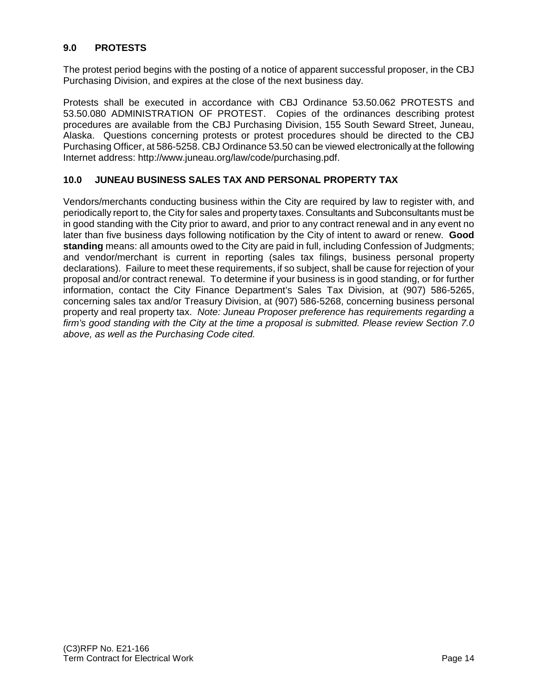#### **9.0 PROTESTS**

The protest period begins with the posting of a notice of apparent successful proposer, in the CBJ Purchasing Division, and expires at the close of the next business day.

Protests shall be executed in accordance with CBJ Ordinance 53.50.062 PROTESTS and 53.50.080 ADMINISTRATION OF PROTEST. Copies of the ordinances describing protest procedures are available from the CBJ Purchasing Division, 155 South Seward Street, Juneau, Alaska. Questions concerning protests or protest procedures should be directed to the CBJ Purchasing Officer, at 586-5258. CBJ Ordinance 53.50 can be viewed electronically at the following Internet address: http://www.juneau.org/law/code/purchasing.pdf.

#### **10.0 JUNEAU BUSINESS SALES TAX AND PERSONAL PROPERTY TAX**

Vendors/merchants conducting business within the City are required by law to register with, and periodically report to, the City for sales and property taxes. Consultants and Subconsultants must be in good standing with the City prior to award, and prior to any contract renewal and in any event no later than five business days following notification by the City of intent to award or renew. **Good standing** means: all amounts owed to the City are paid in full, including Confession of Judgments; and vendor/merchant is current in reporting (sales tax filings, business personal property declarations). Failure to meet these requirements, if so subject, shall be cause for rejection of your proposal and/or contract renewal. To determine if your business is in good standing, or for further information, contact the City Finance Department's Sales Tax Division, at (907) 586-5265, concerning sales tax and/or Treasury Division, at (907) 586-5268, concerning business personal property and real property tax. *Note: Juneau Proposer preference has requirements regarding a firm's good standing with the City at the time a proposal is submitted. Please review Section 7.0 above, as well as the Purchasing Code cited.*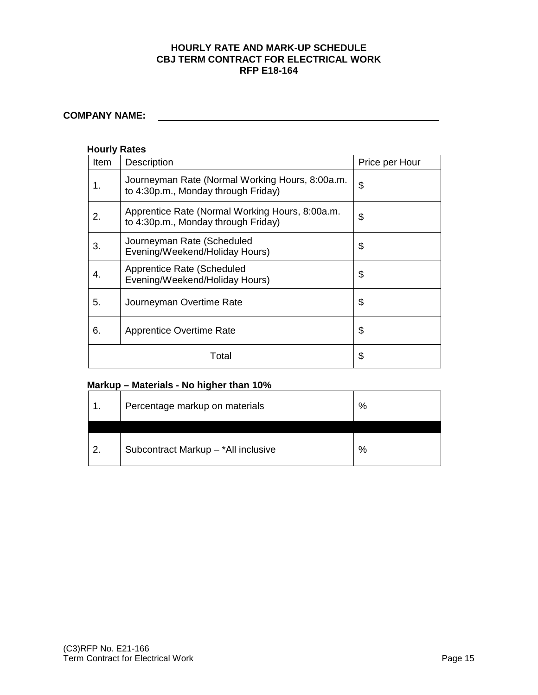#### **HOURLY RATE AND MARK-UP SCHEDULE CBJ TERM CONTRACT FOR ELECTRICAL WORK RFP E18-164**

### **COMPANY NAME:**

#### **Hourly Rates**

| Item | <b>Description</b>                                                                     | Price per Hour |  |
|------|----------------------------------------------------------------------------------------|----------------|--|
| 1.   | Journeyman Rate (Normal Working Hours, 8:00a.m.<br>to 4:30p.m., Monday through Friday) | \$             |  |
| 2.   | Apprentice Rate (Normal Working Hours, 8:00a.m.<br>to 4:30p.m., Monday through Friday) | \$             |  |
| 3.   | Journeyman Rate (Scheduled<br>Evening/Weekend/Holiday Hours)                           | \$             |  |
| 4.   | Apprentice Rate (Scheduled<br>Evening/Weekend/Holiday Hours)                           | \$             |  |
| 5.   | Journeyman Overtime Rate                                                               | \$             |  |
| 6.   | <b>Apprentice Overtime Rate</b>                                                        | \$             |  |
|      | Total                                                                                  | \$             |  |

#### **Markup – Materials - No higher than 10%**

|    | Percentage markup on materials      | %    |
|----|-------------------------------------|------|
| ົາ | Subcontract Markup - *All inclusive | $\%$ |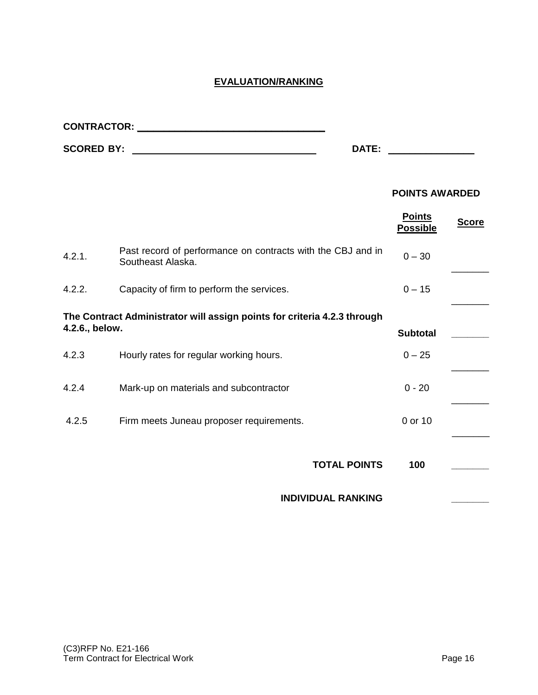#### **EVALUATION/RANKING**

**CONTRACTOR: \_\_\_\_\_\_\_\_\_\_\_\_\_\_\_\_\_\_\_\_\_\_\_\_\_\_\_\_\_\_\_\_\_\_\_** 

| <b>SCORED BY:</b><br>DATE:                                                                 |                                                                                  |                                  |              |  |
|--------------------------------------------------------------------------------------------|----------------------------------------------------------------------------------|----------------------------------|--------------|--|
|                                                                                            |                                                                                  | <b>POINTS AWARDED</b>            |              |  |
|                                                                                            |                                                                                  | <b>Points</b><br><b>Possible</b> | <b>Score</b> |  |
| 4.2.1.                                                                                     | Past record of performance on contracts with the CBJ and in<br>Southeast Alaska. | $0 - 30$                         |              |  |
| 4.2.2.                                                                                     | Capacity of firm to perform the services.                                        | $0 - 15$                         |              |  |
| The Contract Administrator will assign points for criteria 4.2.3 through<br>4.2.6., below. |                                                                                  |                                  |              |  |
|                                                                                            |                                                                                  | <b>Subtotal</b>                  |              |  |
| 4.2.3                                                                                      | Hourly rates for regular working hours.                                          | $0 - 25$                         |              |  |
| 4.2.4                                                                                      | Mark-up on materials and subcontractor                                           | $0 - 20$                         |              |  |
| 4.2.5                                                                                      | Firm meets Juneau proposer requirements.                                         | 0 or 10                          |              |  |
|                                                                                            | <b>TOTAL POINTS</b>                                                              | 100                              |              |  |
|                                                                                            | <b>INDIVIDUAL RANKING</b>                                                        |                                  |              |  |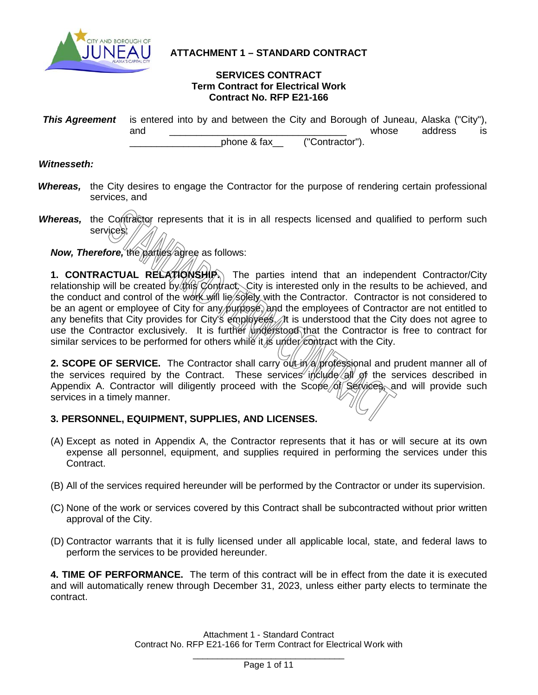

#### **ATTACHMENT 1 – STANDARD CONTRACT**

#### **SERVICES CONTRACT Term Contract for Electrical Work Contract No. RFP E21-166**

| <b>This Agreement</b> is entered into by and between the City and Borough of Juneau, Alaska ("City"), |     |             |  |                 |       |         |     |
|-------------------------------------------------------------------------------------------------------|-----|-------------|--|-----------------|-------|---------|-----|
|                                                                                                       | and |             |  |                 | whose | address | IS. |
|                                                                                                       |     | phone & fax |  | ("Contractor"). |       |         |     |

#### *Witnesseth:*

- **Whereas,** the City desires to engage the Contractor for the purpose of rendering certain professional services, and
- Whereas, the Contractor represents that it is in all respects licensed and qualified to perform such services;

*Now, Therefore, the parties/agree as follows:* 

1. **CONTRACTUAL RELATIONSHIP.** The parties intend that an independent Contractor/City relationship will be created by this Contract. City is interested only in the results to be achieved, and the conduct and control of the work will lie solely with the Contractor. Contractor is not considered to be an agent or employee of City for any purpose, and the employees of Contractor are not entitled to any benefits that City provides for City's employees. It is understood that the City does not agree to use the Contractor exclusively. It is further understood that the Contractor is free to contract for similar services to be performed for others while it is under  $\epsilon$  on tract with the City.

2. SCOPE OF SERVICE. The Contractor shall carry out in a professional and prudent manner all of the services required by the Contract. These services include  $\alpha$  of the services described in Appendix A. Contractor will diligently proceed with the Scope of Services, and will provide such services in a timely manner.

#### **3. PERSONNEL, EQUIPMENT, SUPPLIES, AND LICENSES.**

- (A) Except as noted in Appendix A, the Contractor represents that it has or will secure at its own expense all personnel, equipment, and supplies required in performing the services under this Contract.
- (B) All of the services required hereunder will be performed by the Contractor or under its supervision.
- (C) None of the work or services covered by this Contract shall be subcontracted without prior written approval of the City.
- (D) Contractor warrants that it is fully licensed under all applicable local, state, and federal laws to perform the services to be provided hereunder.

**4. TIME OF PERFORMANCE.** The term of this contract will be in effect from the date it is executed and will automatically renew through December 31, 2023, unless either party elects to terminate the contract.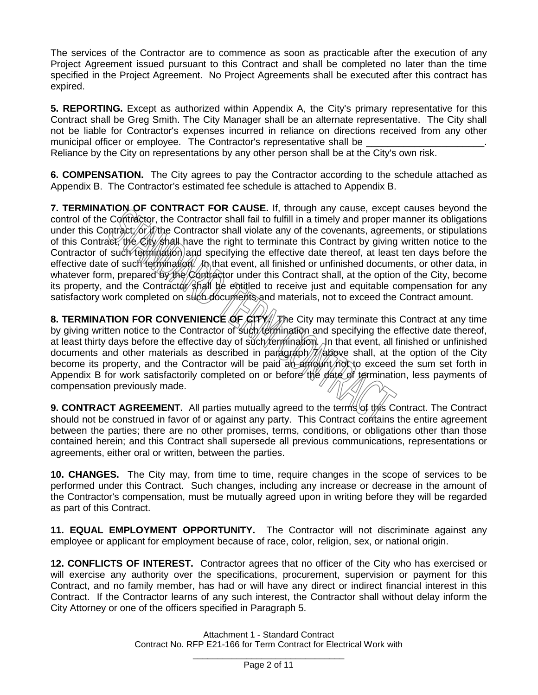The services of the Contractor are to commence as soon as practicable after the execution of any Project Agreement issued pursuant to this Contract and shall be completed no later than the time specified in the Project Agreement. No Project Agreements shall be executed after this contract has expired.

**5. REPORTING.** Except as authorized within Appendix A, the City's primary representative for this Contract shall be Greg Smith. The City Manager shall be an alternate representative. The City shall not be liable for Contractor's expenses incurred in reliance on directions received from any other municipal officer or employee. The Contractor's representative shall be

Reliance by the City on representations by any other person shall be at the City's own risk.

**6. COMPENSATION.** The City agrees to pay the Contractor according to the schedule attached as Appendix B. The Contractor's estimated fee schedule is attached to Appendix B.

**7. TERMINATION OF CONTRACT FOR CAUSE.** If, through any cause, except causes beyond the control of the Contractor, the Contractor shall fail to fulfill in a timely and proper manner its obligations under this Contract; or if the Contractor shall violate any of the covenants, agreements, or stipulations of this Contract, the City shall have the right to terminate this Contract by giving written notice to the Contractor of such termination) and specifying the effective date thereof, at least ten days before the effective date of such termination. An that event, all finished or unfinished documents, or other data, in whatever form, prepared by the Contractor under this Contract shall, at the option of the City, become its property, and the Contractor shall be entitled to receive just and equitable compensation for any satisfactory work completed on such documents and materials, not to exceed the Contract amount.

**8. TERMINATION FOR CONVENIENCE OF CITY.** The City may terminate this Contract at any time by giving written notice to the Contractor of such *termination* and specifying the effective date thereof, at least thirty days before the effective day of such *termination*. In that event, all finished or unfinished documents and other materials as described in paragraph  $\frac{1}{4}$  above shall, at the option of the City become its property, and the Contractor will be paid an amount not to exceed the sum set forth in Appendix B for work satisfactorily completed on or before the date of termination, less payments of compensation previously made.

9. CONTRACT AGREEMENT. All parties mutually agreed to the terms of this Contract. The Contract should not be construed in favor of or against any party. This Contract contains the entire agreement between the parties; there are no other promises, terms, conditions, or obligations other than those contained herein; and this Contract shall supersede all previous communications, representations or agreements, either oral or written, between the parties.

**10. CHANGES.** The City may, from time to time, require changes in the scope of services to be performed under this Contract. Such changes, including any increase or decrease in the amount of the Contractor's compensation, must be mutually agreed upon in writing before they will be regarded as part of this Contract.

**11. EQUAL EMPLOYMENT OPPORTUNITY.** The Contractor will not discriminate against any employee or applicant for employment because of race, color, religion, sex, or national origin.

**12. CONFLICTS OF INTEREST.** Contractor agrees that no officer of the City who has exercised or will exercise any authority over the specifications, procurement, supervision or payment for this Contract, and no family member, has had or will have any direct or indirect financial interest in this Contract. If the Contractor learns of any such interest, the Contractor shall without delay inform the City Attorney or one of the officers specified in Paragraph 5.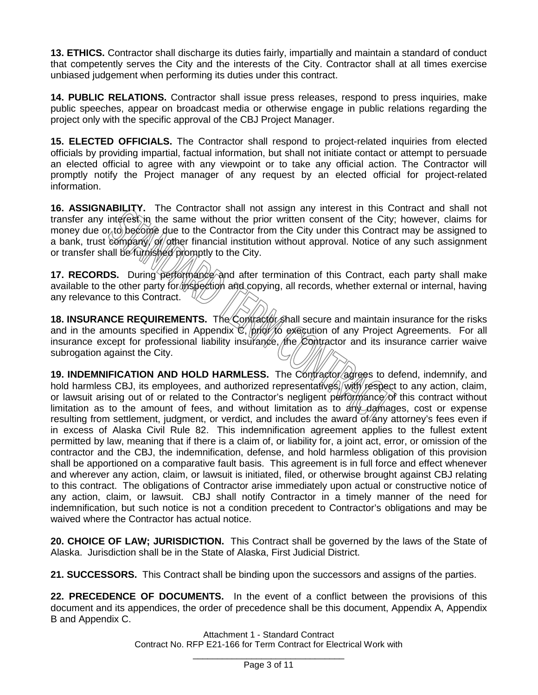**13. ETHICS.** Contractor shall discharge its duties fairly, impartially and maintain a standard of conduct that competently serves the City and the interests of the City. Contractor shall at all times exercise unbiased judgement when performing its duties under this contract.

**14. PUBLIC RELATIONS.** Contractor shall issue press releases, respond to press inquiries, make public speeches, appear on broadcast media or otherwise engage in public relations regarding the project only with the specific approval of the CBJ Project Manager.

**15. ELECTED OFFICIALS.** The Contractor shall respond to project-related inquiries from elected officials by providing impartial, factual information, but shall not initiate contact or attempt to persuade an elected official to agree with any viewpoint or to take any official action. The Contractor will promptly notify the Project manager of any request by an elected official for project-related information.

**16. ASSIGNABILITY.** The Contractor shall not assign any interest in this Contract and shall not transfer any interest in the same without the prior written consent of the City; however, claims for money due  $o<sub>k</sub>$  to become due to the Contractor from the City under this Contract may be assigned to a bank, trust company/ of ather financial institution without approval. Notice of any such assignment or transfer shall be furnished promptly to the City.

**17. RECORDS.** During performance and after termination of this Contract, each party shall make available to the other party for inspection and copying, all records, whether external or internal, having any relevance to this Contract.

**18. INSURANCE REQUIREMENTS.** The Contractor shall secure and maintain insurance for the risks and in the amounts specified in Appendix  $\mathfrak{C}$ , prior to execution of any Project Agreements. For all insurance except for professional liability insurance, the  $\&$  ontractor and its insurance carrier waive subrogation against the City.

**19. INDEMNIFICATION AND HOLD HARMLESS.** The Contractor agrees to defend, indemnify, and hold harmless CBJ, its employees, and authorized representatives, with respect to any action, claim, or lawsuit arising out of or related to the Contractor's negligent performance of this contract without limitation as to the amount of fees, and without limitation as to any damages, cost or expense resulting from settlement, judgment, or verdict, and includes the award of any attorney's fees even if in excess of Alaska Civil Rule 82. This indemnification agreement applies to the fullest extent permitted by law, meaning that if there is a claim of, or liability for, a joint act, error, or omission of the contractor and the CBJ, the indemnification, defense, and hold harmless obligation of this provision shall be apportioned on a comparative fault basis. This agreement is in full force and effect whenever and wherever any action, claim, or lawsuit is initiated, filed, or otherwise brought against CBJ relating to this contract. The obligations of Contractor arise immediately upon actual or constructive notice of any action, claim, or lawsuit. CBJ shall notify Contractor in a timely manner of the need for indemnification, but such notice is not a condition precedent to Contractor's obligations and may be waived where the Contractor has actual notice.

**20. CHOICE OF LAW; JURISDICTION.** This Contract shall be governed by the laws of the State of Alaska. Jurisdiction shall be in the State of Alaska, First Judicial District.

**21. SUCCESSORS.** This Contract shall be binding upon the successors and assigns of the parties.

**22. PRECEDENCE OF DOCUMENTS.** In the event of a conflict between the provisions of this document and its appendices, the order of precedence shall be this document, Appendix A, Appendix B and Appendix C.

> Attachment 1 - Standard Contract Contract No. RFP E21-166 for Term Contract for Electrical Work with \_\_\_\_\_\_\_\_\_\_\_\_\_\_\_\_\_\_\_\_\_\_\_\_\_\_\_\_\_\_\_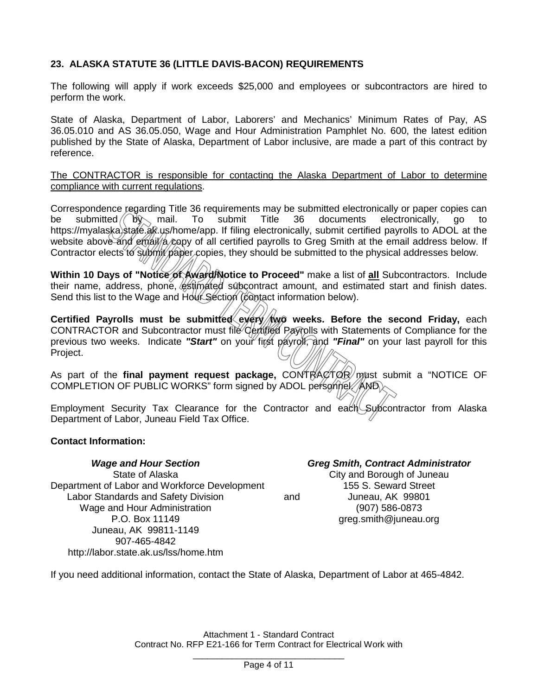#### **23. ALASKA STATUTE 36 (LITTLE DAVIS-BACON) REQUIREMENTS**

The following will apply if work exceeds \$25,000 and employees or subcontractors are hired to perform the work.

State of Alaska, Department of Labor, Laborers' and Mechanics' Minimum Rates of Pay, AS 36.05.010 and AS 36.05.050, Wage and Hour Administration Pamphlet No. 600, the latest edition published by the State of Alaska, Department of Labor inclusive, are made a part of this contract by reference.

The CONTRACTOR is responsible for contacting the Alaska Department of Labor to determine compliance with current regulations.

Correspondence regarding Title 36 requirements may be submitted electronically or paper copies can be submitted  $\sqrt{6}$ , mail. To submit Title 36 documents electronically, go to [https://myalaska.state.ak.us/home/app.](https://myalaska.state.ak.us/home/app) If filing electronically, submit certified payrolls to ADOL at the website above and email a copy of all certified payrolls to Greg Smith at the email address below. If Contractor elects to submit paper copies, they should be submitted to the physical addresses below.

**Within 10 Days of "Notice of Award/Notice to Proceed"** make a list of **all** Subcontractors. Include their name, address, phone, estimated subcontract amount, and estimated start and finish dates. Send this list to the Wage and Hour Section (contact information below).

Certified Payrolls must be submitted every weeks. Before the second Friday, each CONTRACTOR and Subcontractor must file Certified Payrolls with Statements of Compliance for the previous two weeks. Indicate "Start" on your first payrolf, and "Final" on your last payroll for this Project.

As part of the **final payment request package,** CONTRACTOR must submit a "NOTICE OF COMPLETION OF PUBLIC WORKS" form signed by ADOL personnel.  $\mathbb{A}$ MD

Employment Security Tax Clearance for the Contractor and each Subcontractor from Alaska Department of Labor, Juneau Field Tax Office.

#### **Contact Information:**

*Wage and Hour Section Greg Smith, Contract Administrator* State of Alaska City and Borough of Juneau Department of Labor and Workforce Development 155 S. Seward Street Labor Standards and Safety Division and and Juneau, AK 99801 Wage and Hour Administration (907) 586-0873 P.O. Box 11149 **greg.smith@juneau.org** Juneau, AK 99811-1149 907-465-4842 http://labor.state.ak.us/lss/home.htm

If you need additional information, contact the State of Alaska, Department of Labor at 465-4842.

Attachment 1 - Standard Contract Contract No. RFP E21-166 for Term Contract for Electrical Work with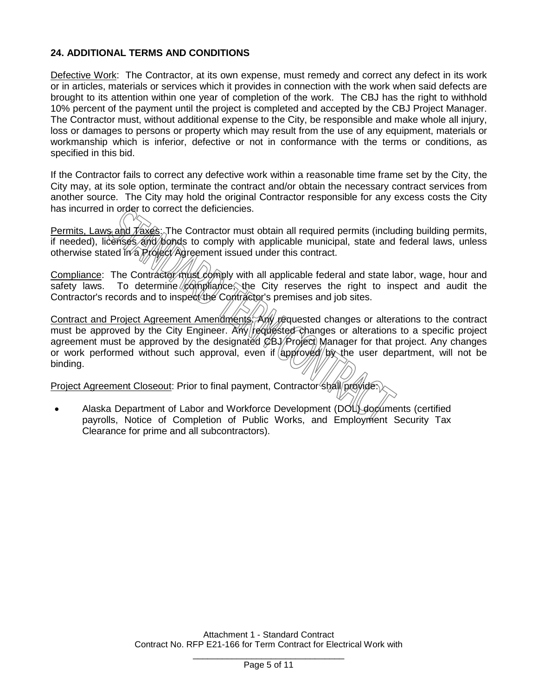#### **24. ADDITIONAL TERMS AND CONDITIONS**

Defective Work: The Contractor, at its own expense, must remedy and correct any defect in its work or in articles, materials or services which it provides in connection with the work when said defects are brought to its attention within one year of completion of the work. The CBJ has the right to withhold 10% percent of the payment until the project is completed and accepted by the CBJ Project Manager. The Contractor must, without additional expense to the City, be responsible and make whole all injury, loss or damages to persons or property which may result from the use of any equipment, materials or workmanship which is inferior, defective or not in conformance with the terms or conditions, as specified in this bid.

If the Contractor fails to correct any defective work within a reasonable time frame set by the City, the City may, at its sole option, terminate the contract and/or obtain the necessary contract services from another source. The City may hold the original Contractor responsible for any excess costs the City has incurred in order to correct the deficiencies.

Permits, Laws and  $\bar{f}$  axes: The Contractor must obtain all required permits (including building permits, if needed), licenses and bonds to comply with applicable municipal, state and federal laws, unless otherwise stated in a Project Agreement issued under this contract.

Compliance: The Contractor must comply with all applicable federal and state labor, wage, hour and safety laws. To determine  $\sqrt{\omega}$  m  $\omega$  the City reserves the right to inspect and audit the Contractor's records and to inspect the Contractor's premises and job sites.

Contract and Project Agreement Amendments: Any requested changes or alterations to the contract must be approved by the City Engineer. Any requested changes or alterations to a specific project agreement must be approved by the designated  $\&\Theta\&\Theta$  Manager for that project. Any changes or work performed without such approval, even if  $\langle \text{appfoyg} \rangle / \langle \text{py} \rangle$  the user department, will not be binding.

Project Agreement Closeout: Prior to final payment, Contractor shall provide.

• Alaska Department of Labor and Workforce Development (DOL) documents (certified payrolls, Notice of Completion of Public Works, and Employment Security Tax Clearance for prime and all subcontractors).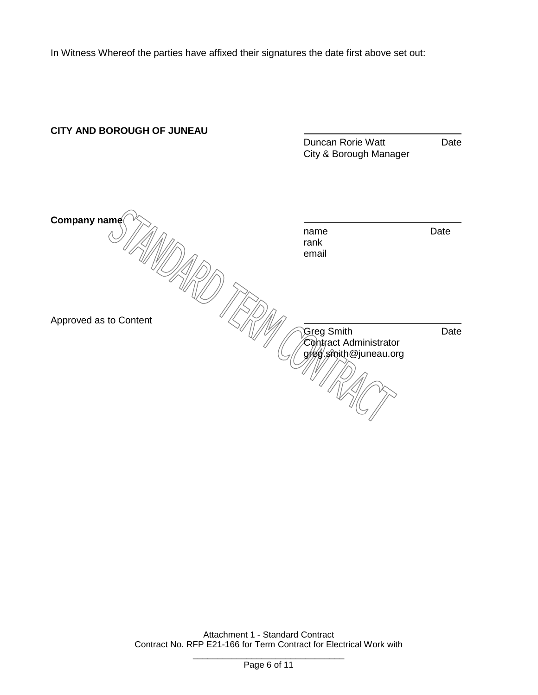In Witness Whereof the parties have affixed their signatures the date first above set out:

# **CITY AND BOROUGH OF JUNEAU** Duncan Rorie Watt **Date** City & Borough Manager **Company name** name Date Approved as to Content<br>Approved as to Content<br>Approved as to Content rank email Greg Smith Contract Administrator greg.smith@juneau.org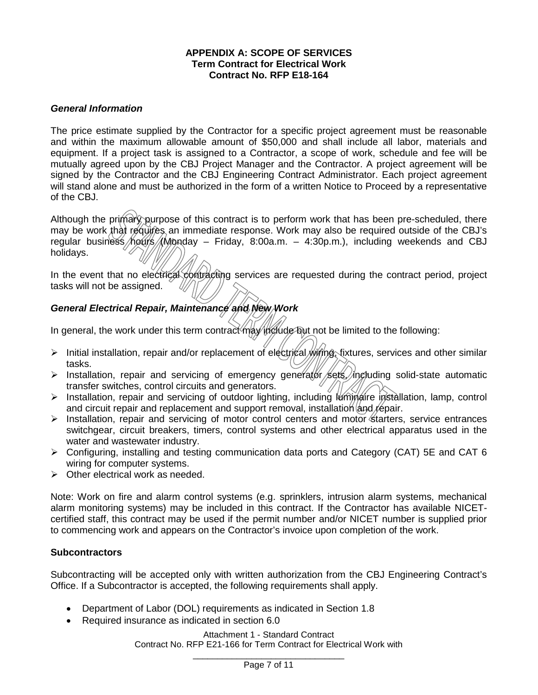#### **APPENDIX A: SCOPE OF SERVICES Term Contract for Electrical Work Contract No. RFP E18-164**

#### *General Information*

The price estimate supplied by the Contractor for a specific project agreement must be reasonable and within the maximum allowable amount of \$50,000 and shall include all labor, materials and equipment. If a project task is assigned to a Contractor, a scope of work, schedule and fee will be mutually agreed upon by the CBJ Project Manager and the Contractor. A project agreement will be signed by the Contractor and the CBJ Engineering Contract Administrator. Each project agreement will stand alone and must be authorized in the form of a written Notice to Proceed by a representative of the CBJ.

Although the primary purpose of this contract is to perform work that has been pre-scheduled, there may be work that requires an immediate response. Work may also be required outside of the CBJ's regular business hours (Monday – Friday, 8:00a.m. – 4:30p.m.), including weekends and CBJ holidays.

In the event that no electrical contracting services are requested during the contract period, project tasks will not be assigned.

#### *General Electrical Repair, Maintenance and New Work*

In general, the work under this term contract may include but not be limited to the following:

- Initial installation, repair and/or replacement of electrical wirting, fixtures, services and other similar tasks.
- $\triangleright$  Installation, repair and servicing of emergency generator sets, including solid-state automatic transfer switches, control circuits and generators.
- > Installation, repair and servicing of outdoor lighting, including luminaire installation. lamp. control and circuit repair and replacement and support removal, installation  $\alpha$  repair.
- $\triangleright$  Installation, repair and servicing of motor control centers and motor starters, service entrances switchgear, circuit breakers, timers, control systems and other electrical apparatus used in the water and wastewater industry.
- $\triangleright$  Configuring, installing and testing communication data ports and Category (CAT) 5E and CAT 6 wiring for computer systems.
- $\triangleright$  Other electrical work as needed.

Note: Work on fire and alarm control systems (e.g. sprinklers, intrusion alarm systems, mechanical alarm monitoring systems) may be included in this contract. If the Contractor has available NICETcertified staff, this contract may be used if the permit number and/or NICET number is supplied prior to commencing work and appears on the Contractor's invoice upon completion of the work.

#### **Subcontractors**

Subcontracting will be accepted only with written authorization from the CBJ Engineering Contract's Office. If a Subcontractor is accepted, the following requirements shall apply.

- Department of Labor (DOL) requirements as indicated in Section 1.8
- Required insurance as indicated in section 6.0

Attachment 1 - Standard Contract Contract No. RFP E21-166 for Term Contract for Electrical Work with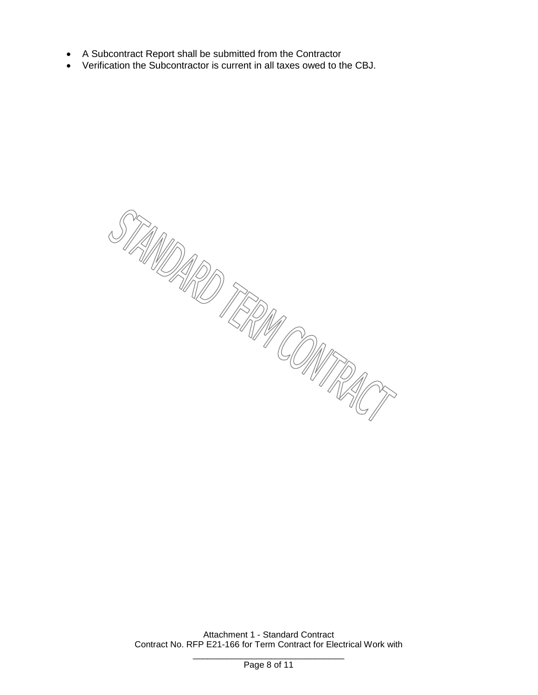- A Subcontract Report shall be submitted from the Contractor
- Verification the Subcontractor is current in all taxes owed to the CBJ.

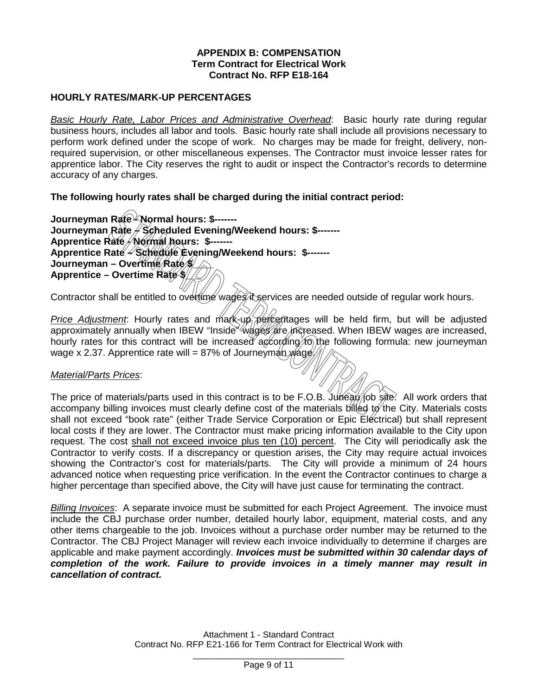#### **APPENDIX B: COMPENSATION Term Contract for Electrical Work Contract No. RFP E18-164**

#### **HOURLY RATES/MARK-UP PERCENTAGES**

*Basic Hourly Rate, Labor Prices and Administrative Overhead*: Basic hourly rate during regular business hours, includes all labor and tools. Basic hourly rate shall include all provisions necessary to perform work defined under the scope of work. No charges may be made for freight, delivery, nonrequired supervision, or other miscellaneous expenses. The Contractor must invoice lesser rates for apprentice labor. The City reserves the right to audit or inspect the Contractor's records to determine accuracy of any charges.

#### **The following hourly rates shall be charged during the initial contract period:**

**Journeyman Rate - Normal hours: \$------- Journeyman Rate – Scheduled Evening/Weekend hours: \$------- Apprentice Rate - Normal hours: \$------- Apprentice Rate – Schedule Evening/Weekend hours: \$-------** Journeyman – Overtime *Rate \$* **Apprentice – Overtime Rate \$\_\_\_**

Contractor shall be entitled to overtime wages it services are needed outside of regular work hours.

*Price Adjustment*: Hourly rates and mark-up percentages will be held firm, but will be adjusted approximately annually when IBEW "Inside" wages are increased. When IBEW wages are increased, hourly rates for this contract will be increased according to the following formula: new journeyman wage x 2.37. Apprentice rate will = 87% of Journeyman wage.

#### *Material/Parts Prices*:

The price of materials/parts used in this contract is to be F.O.B. Juneau/iob site. All work orders that accompany billing invoices must clearly define cost of the materials billed to the City. Materials costs shall not exceed "book rate" (either Trade Service Corporation or Epic Electrical) but shall represent local costs if they are lower. The Contractor must make pricing information available to the City upon request. The cost shall not exceed invoice plus ten (10) percent. The City will periodically ask the Contractor to verify costs. If a discrepancy or question arises, the City may require actual invoices showing the Contractor's cost for materials/parts. The City will provide a minimum of 24 hours advanced notice when requesting price verification. In the event the Contractor continues to charge a higher percentage than specified above, the City will have just cause for terminating the contract.

*Billing Invoices*: A separate invoice must be submitted for each Project Agreement. The invoice must include the CBJ purchase order number, detailed hourly labor, equipment, material costs, and any other items chargeable to the job. Invoices without a purchase order number may be returned to the Contractor. The CBJ Project Manager will review each invoice individually to determine if charges are applicable and make payment accordingly. *Invoices must be submitted within 30 calendar days of completion of the work. Failure to provide invoices in a timely manner may result in cancellation of contract.*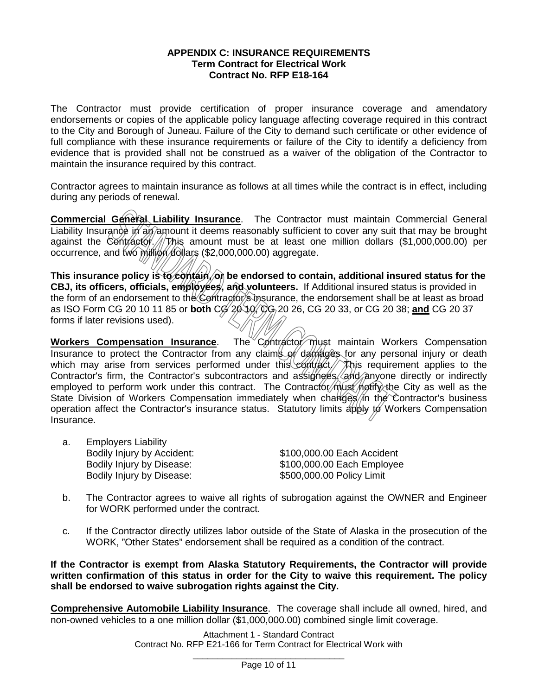#### **APPENDIX C: INSURANCE REQUIREMENTS Term Contract for Electrical Work Contract No. RFP E18-164**

The Contractor must provide certification of proper insurance coverage and amendatory endorsements or copies of the applicable policy language affecting coverage required in this contract to the City and Borough of Juneau. Failure of the City to demand such certificate or other evidence of full compliance with these insurance requirements or failure of the City to identify a deficiency from evidence that is provided shall not be construed as a waiver of the obligation of the Contractor to maintain the insurance required by this contract.

Contractor agrees to maintain insurance as follows at all times while the contract is in effect, including during any periods of renewal.

**Commercial General Liability Insurance**. The Contractor must maintain Commercial General Liability Insurance in an amount it deems reasonably sufficient to cover any suit that may be brought against the Contractor.  $\frac{1}{\sqrt{2}}$  amount must be at least one million dollars (\$1,000,000.00) per occurrence, and two million dollars (\$2,000,000.00) aggregate.

This insurance policy is to contain, on be endorsed to contain, additional insured status for the **CBJ, its officers, officials, employees, and volunteers.** If Additional insured status is provided in the form of an endorsement to the Contractor's insurance, the endorsement shall be at least as broad as ISO Form CG 20 10 11 85 or **both** CG 20 10, CG 20 26, CG 20 33, or CG 20 38; **and** CG 20 37 forms if later revisions used).

**Workers Compensation Insurance**. The Contractor must maintain Workers Compensation Insurance to protect the Contractor from any claims of damages for any personal injury or death which may arise from services performed under this contract / This requirement applies to the Contractor's firm, the Contractor's subcontractors and assignees/and/anyone directly or indirectly employed to perform work under this contract. The Contractor must notify the City as well as the State Division of Workers Compensation immediately when changes/in the Contractor's business operation affect the Contractor's insurance status. Statutory limits apply  $\sharp \varnothing$  Workers Compensation Insurance.

a. Employers Liability Bodily Injury by Accident: \$100,000.00 Each Accident Bodily Injury by Disease: \$500,000.00 Policy Limit

Bodily Injury by Disease: \$100,000.00 Each Employee

- b. The Contractor agrees to waive all rights of subrogation against the OWNER and Engineer for WORK performed under the contract.
- c. If the Contractor directly utilizes labor outside of the State of Alaska in the prosecution of the WORK, "Other States" endorsement shall be required as a condition of the contract.

**If the Contractor is exempt from Alaska Statutory Requirements, the Contractor will provide written confirmation of this status in order for the City to waive this requirement. The policy shall be endorsed to waive subrogation rights against the City.**

**Comprehensive Automobile Liability Insurance**. The coverage shall include all owned, hired, and non-owned vehicles to a one million dollar (\$1,000,000.00) combined single limit coverage.

> Attachment 1 - Standard Contract Contract No. RFP E21-166 for Term Contract for Electrical Work with